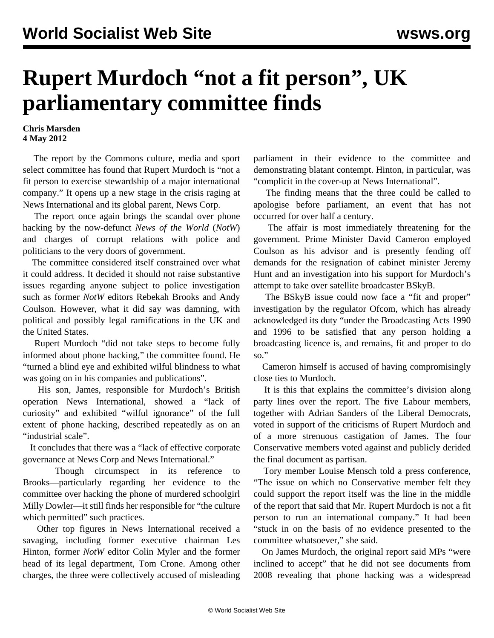## **Rupert Murdoch "not a fit person", UK parliamentary committee finds**

## **Chris Marsden 4 May 2012**

 The report by the Commons culture, media and sport select committee has found that Rupert Murdoch is "not a fit person to exercise stewardship of a major international company." It opens up a new stage in the crisis raging at News International and its global parent, News Corp.

 The report once again brings the scandal over phone hacking by the now-defunct *News of the World* (*NotW*) and charges of corrupt relations with police and politicians to the very doors of government.

 The committee considered itself constrained over what it could address. It decided it should not raise substantive issues regarding anyone subject to police investigation such as former *NotW* editors Rebekah Brooks and Andy Coulson. However, what it did say was damning, with political and possibly legal ramifications in the UK and the United States.

 Rupert Murdoch "did not take steps to become fully informed about phone hacking," the committee found. He "turned a blind eye and exhibited wilful blindness to what was going on in his companies and publications".

 His son, James, responsible for Murdoch's British operation News International, showed a "lack of curiosity" and exhibited "wilful ignorance" of the full extent of phone hacking, described repeatedly as on an "industrial scale".

 It concludes that there was a "lack of effective corporate governance at News Corp and News International."

 Though circumspect in its reference to Brooks—particularly regarding her evidence to the committee over hacking the phone of murdered schoolgirl Milly Dowler—it still finds her responsible for "the culture which permitted" such practices.

 Other top figures in News International received a savaging, including former executive chairman Les Hinton, former *NotW* editor Colin Myler and the former head of its legal department, Tom Crone. Among other charges, the three were collectively accused of misleading

parliament in their evidence to the committee and demonstrating blatant contempt. Hinton, in particular, was "complicit in the cover-up at News International".

 The finding means that the three could be called to apologise before parliament, an event that has not occurred for over half a century.

 The affair is most immediately threatening for the government. Prime Minister David Cameron employed Coulson as his advisor and is presently fending off demands for the resignation of cabinet minister Jeremy Hunt and an investigation into his support for Murdoch's attempt to take over satellite broadcaster BSkyB.

The BSkyB issue could now face a "fit and proper" investigation by the regulator Ofcom, which has already acknowledged its duty "under the Broadcasting Acts 1990 and 1996 to be satisfied that any person holding a broadcasting licence is, and remains, fit and proper to do so."

 Cameron himself is accused of having compromisingly close ties to Murdoch.

 It is this that explains the committee's division along party lines over the report. The five Labour members, together with Adrian Sanders of the Liberal Democrats, voted in support of the criticisms of Rupert Murdoch and of a more strenuous castigation of James. The four Conservative members voted against and publicly derided the final document as partisan.

 Tory member Louise Mensch told a press conference, "The issue on which no Conservative member felt they could support the report itself was the line in the middle of the report that said that Mr. Rupert Murdoch is not a fit person to run an international company." It had been "stuck in on the basis of no evidence presented to the committee whatsoever," she said.

 On James Murdoch, the original report said MPs "were inclined to accept" that he did not see documents from 2008 revealing that phone hacking was a widespread